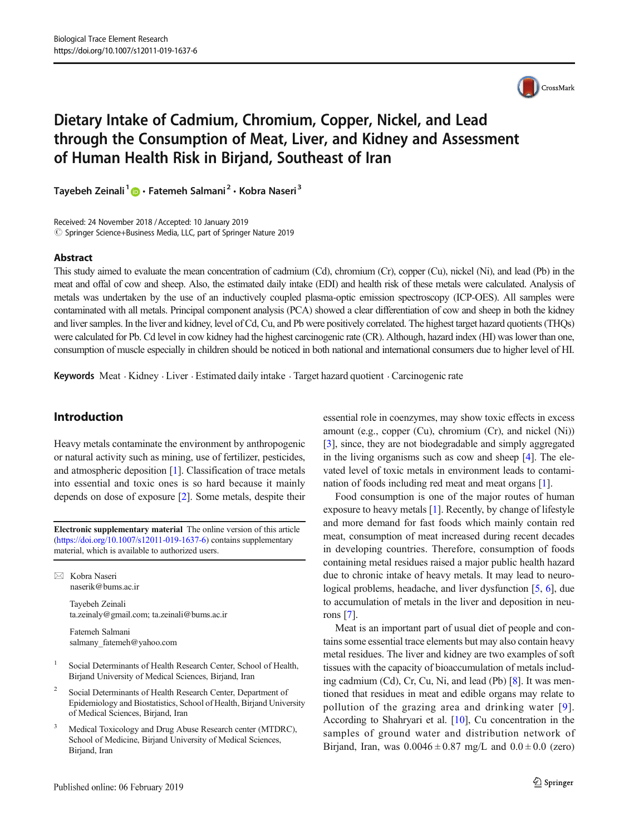

# Dietary Intake of Cadmium, Chromium, Copper, Nickel, and Lead through the Consumption of Meat, Liver, and Kidney and Assessment of Human Health Risk in Birjand, Southeast of Iran

Tayebeh Zeinali<sup>1</sup> **D** · Fatemeh Salmani<sup>2</sup> · Kobra Naseri<sup>3</sup>

Received: 24 November 2018 /Accepted: 10 January 2019 © Springer Science+Business Media, LLC, part of Springer Nature 2019

# Abstract

This study aimed to evaluate the mean concentration of cadmium (Cd), chromium (Cr), copper (Cu), nickel (Ni), and lead (Pb) in the meat and offal of cow and sheep. Also, the estimated daily intake (EDI) and health risk of these metals were calculated. Analysis of metals was undertaken by the use of an inductively coupled plasma-optic emission spectroscopy (ICP-OES). All samples were contaminated with all metals. Principal component analysis (PCA) showed a clear differentiation of cow and sheep in both the kidney and liver samples. In the liver and kidney, level of Cd, Cu, and Pb were positively correlated. The highest target hazard quotients (THQs) were calculated for Pb. Cd level in cow kidney had the highest carcinogenic rate (CR). Although, hazard index (HI) was lower than one, consumption of muscle especially in children should be noticed in both national and international consumers due to higher level of HI.

Keywords Meat . Kidney . Liver . Estimated daily intake . Target hazard quotient . Carcinogenic rate

# Introduction

Heavy metals contaminate the environment by anthropogenic or natural activity such as mining, use of fertilizer, pesticides, and atmospheric deposition [1]. Classification of trace metals into essential and toxic ones is so hard because it mainly depends on dose of exposure [2]. Some metals, despite their

Electronic supplementary material The online version of this article (https://doi.org/10.1007/s12011-019-1637-6) contains supplementary material, which is available to authorized users.

 $\boxtimes$  Kobra Naseri naserik@bums.ac.ir

> Tayebeh Zeinali ta.zeinaly@gmail.com; ta.zeinali@bums.ac.ir

Fatemeh Salmani salmany\_fatemeh@yahoo.com

- <sup>1</sup> Social Determinants of Health Research Center, School of Health, Birjand University of Medical Sciences, Birjand, Iran
- <sup>2</sup> Social Determinants of Health Research Center, Department of Epidemiology and Biostatistics, School of Health, Birjand University of Medical Sciences, Birjand, Iran
- Medical Toxicology and Drug Abuse Research center (MTDRC), School of Medicine, Birjand University of Medical Sciences, Birjand, Iran

essential role in coenzymes, may show toxic effects in excess amount (e.g., copper (Cu), chromium (Cr), and nickel (Ni)) [3], since, they are not biodegradable and simply aggregated in the living organisms such as cow and sheep [4]. The elevated level of toxic metals in environment leads to contamination of foods including red meat and meat organs [1].

Food consumption is one of the major routes of human exposure to heavy metals [1]. Recently, by change of lifestyle and more demand for fast foods which mainly contain red meat, consumption of meat increased during recent decades in developing countries. Therefore, consumption of foods containing metal residues raised a major public health hazard due to chronic intake of heavy metals. It may lead to neurological problems, headache, and liver dysfunction [5, 6], due to accumulation of metals in the liver and deposition in neurons [7].

Meat is an important part of usual diet of people and contains some essential trace elements but may also contain heavy metal residues. The liver and kidney are two examples of soft tissues with the capacity of bioaccumulation of metals including cadmium (Cd), Cr, Cu, Ni, and lead (Pb) [8]. It was mentioned that residues in meat and edible organs may relate to pollution of the grazing area and drinking water [9]. According to Shahryari et al. [10], Cu concentration in the samples of ground water and distribution network of Birjand, Iran, was  $0.0046 \pm 0.87$  mg/L and  $0.0 \pm 0.0$  (zero)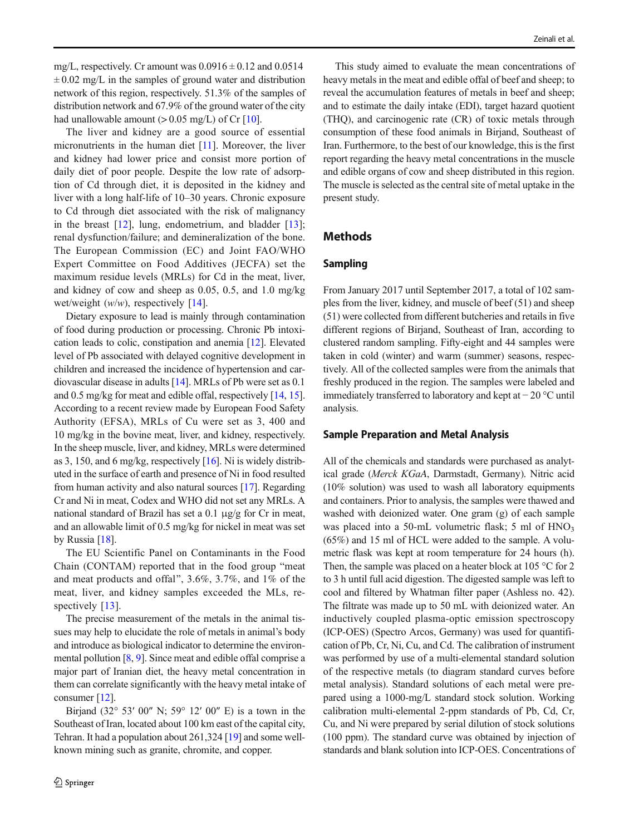mg/L, respectively. Cr amount was  $0.0916 \pm 0.12$  and  $0.0514$  $\pm 0.02$  mg/L in the samples of ground water and distribution network of this region, respectively. 51.3% of the samples of distribution network and 67.9% of the ground water of the city had unallowable amount  $(> 0.05$  mg/L) of Cr [10].

The liver and kidney are a good source of essential micronutrients in the human diet [11]. Moreover, the liver and kidney had lower price and consist more portion of daily diet of poor people. Despite the low rate of adsorption of Cd through diet, it is deposited in the kidney and liver with a long half-life of 10–30 years. Chronic exposure to Cd through diet associated with the risk of malignancy in the breast  $[12]$ , lung, endometrium, and bladder  $[13]$ ; renal dysfunction/failure; and demineralization of the bone. The European Commission (EC) and Joint FAO/WHO Expert Committee on Food Additives (JECFA) set the maximum residue levels (MRLs) for Cd in the meat, liver, and kidney of cow and sheep as 0.05, 0.5, and 1.0 mg/kg wet/weight  $(w/w)$ , respectively [14].

Dietary exposure to lead is mainly through contamination of food during production or processing. Chronic Pb intoxication leads to colic, constipation and anemia [12]. Elevated level of Pb associated with delayed cognitive development in children and increased the incidence of hypertension and cardiovascular disease in adults [14]. MRLs of Pb were set as 0.1 and 0.5 mg/kg for meat and edible offal, respectively [14, 15]. According to a recent review made by European Food Safety Authority (EFSA), MRLs of Cu were set as 3, 400 and 10 mg/kg in the bovine meat, liver, and kidney, respectively. In the sheep muscle, liver, and kidney, MRLs were determined as 3, 150, and 6 mg/kg, respectively  $[16]$ . Ni is widely distributed in the surface of earth and presence of Ni in food resulted from human activity and also natural sources [17]. Regarding Cr and Ni in meat, Codex and WHO did not set any MRLs. A national standard of Brazil has set a 0.1 μg/g for Cr in meat, and an allowable limit of 0.5 mg/kg for nickel in meat was set by Russia [18].

The EU Scientific Panel on Contaminants in the Food Chain (CONTAM) reported that in the food group "meat" and meat products and offal^, 3.6%, 3.7%, and 1% of the meat, liver, and kidney samples exceeded the MLs, respectively [13].

The precise measurement of the metals in the animal tissues may help to elucidate the role of metals in animal's body and introduce as biological indicator to determine the environmental pollution [8, 9]. Since meat and edible offal comprise a major part of Iranian diet, the heavy metal concentration in them can correlate significantly with the heavy metal intake of consumer [12].

Birjand (32° 53′ 00″ N; 59° 12′ 00″ E) is a town in the Southeast of Iran, located about 100 km east of the capital city, Tehran. It had a population about 261,324 [19] and some wellknown mining such as granite, chromite, and copper.

This study aimed to evaluate the mean concentrations of heavy metals in the meat and edible offal of beef and sheep; to reveal the accumulation features of metals in beef and sheep; and to estimate the daily intake (EDI), target hazard quotient (THQ), and carcinogenic rate (CR) of toxic metals through consumption of these food animals in Birjand, Southeast of Iran. Furthermore, to the best of our knowledge, this is the first report regarding the heavy metal concentrations in the muscle and edible organs of cow and sheep distributed in this region. The muscle is selected as the central site of metal uptake in the present study.

# **Methods**

# Sampling

From January 2017 until September 2017, a total of 102 samples from the liver, kidney, and muscle of beef (51) and sheep (51) were collected from different butcheries and retails in five different regions of Birjand, Southeast of Iran, according to clustered random sampling. Fifty-eight and 44 samples were taken in cold (winter) and warm (summer) seasons, respectively. All of the collected samples were from the animals that freshly produced in the region. The samples were labeled and immediately transferred to laboratory and kept at − 20 °C until analysis.

#### Sample Preparation and Metal Analysis

All of the chemicals and standards were purchased as analytical grade (Merck KGaA, Darmstadt, Germany). Nitric acid (10% solution) was used to wash all laboratory equipments and containers. Prior to analysis, the samples were thawed and washed with deionized water. One gram (g) of each sample was placed into a 50-mL volumetric flask; 5 ml of  $HNO<sub>3</sub>$ (65%) and 15 ml of HCL were added to the sample. A volumetric flask was kept at room temperature for 24 hours (h). Then, the sample was placed on a heater block at 105 °C for 2 to 3 h until full acid digestion. The digested sample was left to cool and filtered by Whatman filter paper (Ashless no. 42). The filtrate was made up to 50 mL with deionized water. An inductively coupled plasma-optic emission spectroscopy (ICP-OES) (Spectro Arcos, Germany) was used for quantification of Pb, Cr, Ni, Cu, and Cd. The calibration of instrument was performed by use of a multi-elemental standard solution of the respective metals (to diagram standard curves before metal analysis). Standard solutions of each metal were prepared using a 1000-mg/L standard stock solution. Working calibration multi-elemental 2-ppm standards of Pb, Cd, Cr, Cu, and Ni were prepared by serial dilution of stock solutions (100 ppm). The standard curve was obtained by injection of standards and blank solution into ICP-OES. Concentrations of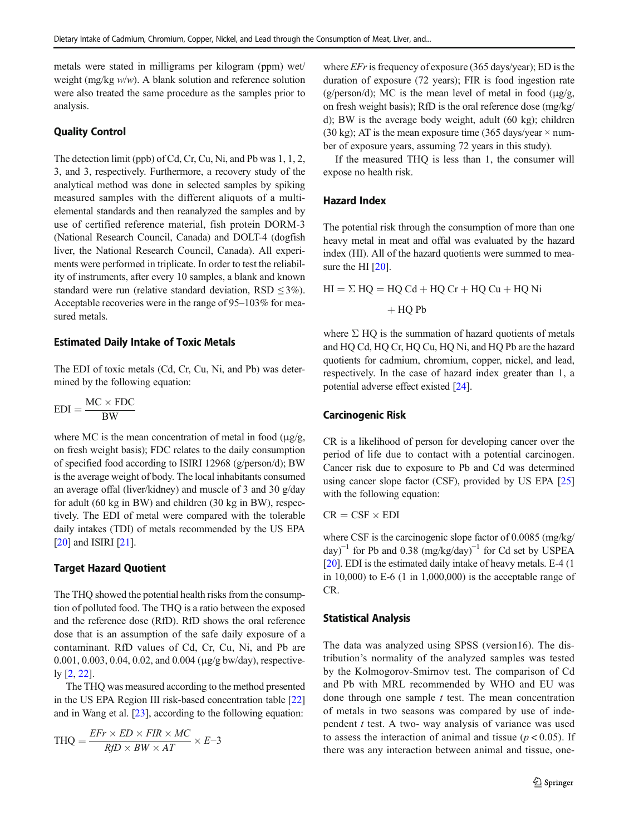metals were stated in milligrams per kilogram (ppm) wet weight (mg/kg w/w). A blank solution and reference solution were also treated the same procedure as the samples prior to analysis.

# Quality Control

The detection limit (ppb) of Cd, Cr, Cu, Ni, and Pb was 1, 1, 2, 3, and 3, respectively. Furthermore, a recovery study of the analytical method was done in selected samples by spiking measured samples with the different aliquots of a multielemental standards and then reanalyzed the samples and by use of certified reference material, fish protein DORM-3 (National Research Council, Canada) and DOLT-4 (dogfish liver, the National Research Council, Canada). All experiments were performed in triplicate. In order to test the reliability of instruments, after every 10 samples, a blank and known standard were run (relative standard deviation, RSD  $\leq$ 3%). Acceptable recoveries were in the range of 95–103% for measured metals.

#### Estimated Daily Intake of Toxic Metals

The EDI of toxic metals (Cd, Cr, Cu, Ni, and Pb) was determined by the following equation:

$$
EDI = \frac{MC \times FDC}{BW}
$$

where MC is the mean concentration of metal in food  $(\mu g/g)$ , on fresh weight basis); FDC relates to the daily consumption of specified food according to ISIRI 12968 (g/person/d); BW is the average weight of body. The local inhabitants consumed an average offal (liver/kidney) and muscle of 3 and 30 g/day for adult (60 kg in BW) and children (30 kg in BW), respectively. The EDI of metal were compared with the tolerable daily intakes (TDI) of metals recommended by the US EPA [20] and ISIRI [21].

#### Target Hazard Quotient

The THQ showed the potential health risks from the consumption of polluted food. The THQ is a ratio between the exposed and the reference dose (RfD). RfD shows the oral reference dose that is an assumption of the safe daily exposure of a contaminant. RfD values of Cd, Cr, Cu, Ni, and Pb are 0.001, 0.003, 0.04, 0.02, and 0.004 (μg/g bw/day), respectively [2, 22].

The THQ was measured according to the method presented in the US EPA Region III risk-based concentration table [22] and in Wang et al. [23], according to the following equation:

$$
\text{THQ} = \frac{\text{EFr} \times \text{ED} \times \text{FIR} \times \text{MC}}{\text{RfD} \times \text{BW} \times \text{AT}} \times \text{E-3}
$$

where  $EFr$  is frequency of exposure (365 days/year); ED is the duration of exposure (72 years); FIR is food ingestion rate (g/person/d); MC is the mean level of metal in food ( $\mu$ g/g, on fresh weight basis); RfD is the oral reference dose (mg/kg/ d); BW is the average body weight, adult (60 kg); children (30 kg); AT is the mean exposure time (365 days/year  $\times$  number of exposure years, assuming 72 years in this study).

If the measured THQ is less than 1, the consumer will expose no health risk.

## Hazard Index

The potential risk through the consumption of more than one heavy metal in meat and offal was evaluated by the hazard index (HI). All of the hazard quotients were summed to measure the HI [20].

 $HI = \Sigma HQ = HQ Cd + HQ Cr + HQ Cu + HQ Ni$  $+$  HQ Pb

where  $\Sigma$  HQ is the summation of hazard quotients of metals and HQ Cd, HQ Cr, HQ Cu, HQ Ni, and HQ Pb are the hazard quotients for cadmium, chromium, copper, nickel, and lead, respectively. In the case of hazard index greater than 1, a potential adverse effect existed [24].

## Carcinogenic Risk

CR is a likelihood of person for developing cancer over the period of life due to contact with a potential carcinogen. Cancer risk due to exposure to Pb and Cd was determined using cancer slope factor (CSF), provided by US EPA [25] with the following equation:

 $CR = CSF \times EDI$ 

where CSF is the carcinogenic slope factor of 0.0085 (mg/kg/ day)<sup>-1</sup> for Pb and 0.38 (mg/kg/day)<sup>-1</sup> for Cd set by USPEA [20]. EDI is the estimated daily intake of heavy metals. E-4 (1 in  $10,000$ ) to E-6  $(1 \text{ in } 1,000,000)$  is the acceptable range of CR.

#### Statistical Analysis

The data was analyzed using SPSS (version16). The distribution's normality of the analyzed samples was tested by the Kolmogorov-Smirnov test. The comparison of Cd and Pb with MRL recommended by WHO and EU was done through one sample  $t$  test. The mean concentration of metals in two seasons was compared by use of independent  $t$  test. A two- way analysis of variance was used to assess the interaction of animal and tissue ( $p < 0.05$ ). If there was any interaction between animal and tissue, one-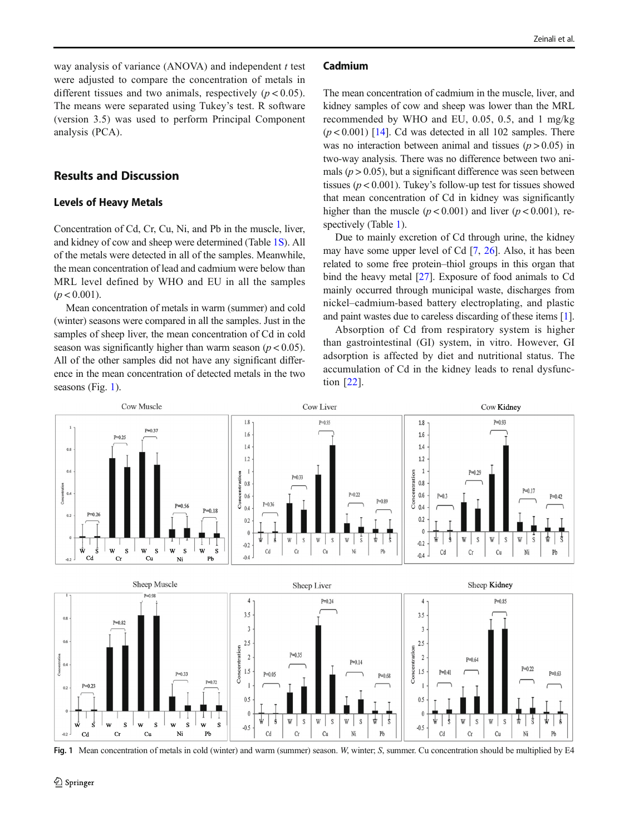way analysis of variance  $(ANOVA)$  and independent t test were adjusted to compare the concentration of metals in different tissues and two animals, respectively  $(p < 0.05)$ . The means were separated using Tukey's test. R software (version 3.5) was used to perform Principal Component analysis (PCA).

# Results and Discussion

#### Levels of Heavy Metals

Concentration of Cd, Cr, Cu, Ni, and Pb in the muscle, liver, and kidney of cow and sheep were determined (Table 1S). All of the metals were detected in all of the samples. Meanwhile, the mean concentration of lead and cadmium were below than MRL level defined by WHO and EU in all the samples  $(p < 0.001)$ .

Mean concentration of metals in warm (summer) and cold (winter) seasons were compared in all the samples. Just in the samples of sheep liver, the mean concentration of Cd in cold season was significantly higher than warm season ( $p < 0.05$ ). All of the other samples did not have any significant difference in the mean concentration of detected metals in the two seasons (Fig. 1).

#### Cadmium

The mean concentration of cadmium in the muscle, liver, and kidney samples of cow and sheep was lower than the MRL recommended by WHO and EU, 0.05, 0.5, and 1 mg/kg  $(p < 0.001)$  [14]. Cd was detected in all 102 samples. There was no interaction between animal and tissues  $(p > 0.05)$  in two-way analysis. There was no difference between two animals ( $p > 0.05$ ), but a significant difference was seen between tissues ( $p < 0.001$ ). Tukey's follow-up test for tissues showed that mean concentration of Cd in kidney was significantly higher than the muscle  $(p < 0.001)$  and liver  $(p < 0.001)$ , respectively (Table 1).

Due to mainly excretion of Cd through urine, the kidney may have some upper level of Cd [7, 26]. Also, it has been related to some free protein–thiol groups in this organ that bind the heavy metal [27]. Exposure of food animals to Cd mainly occurred through municipal waste, discharges from nickel–cadmium-based battery electroplating, and plastic and paint wastes due to careless discarding of these items [1].

Absorption of Cd from respiratory system is higher than gastrointestinal (GI) system, in vitro. However, GI adsorption is affected by diet and nutritional status. The accumulation of Cd in the kidney leads to renal dysfunction [22].



Fig. 1 Mean concentration of metals in cold (winter) and warm (summer) season. W, winter; S, summer. Cu concentration should be multiplied by E4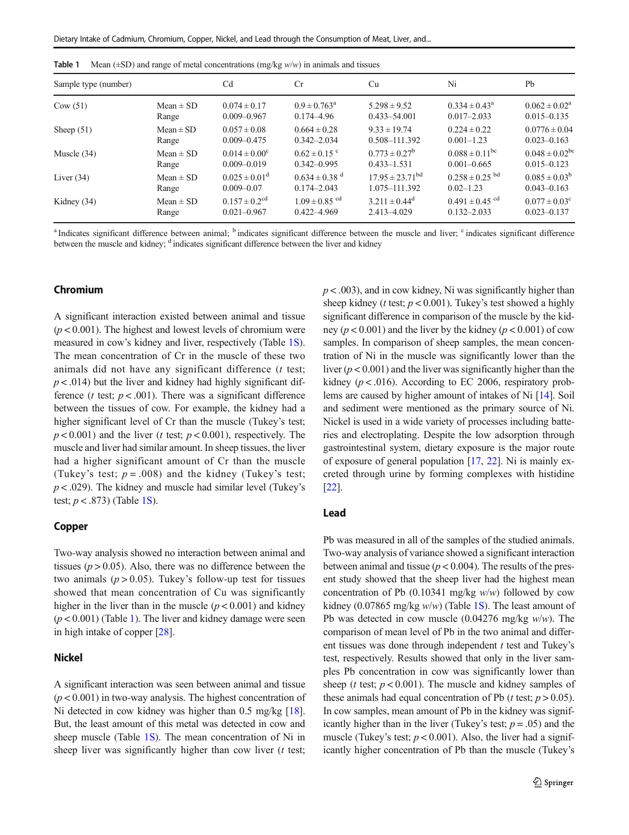| Sample type (number) |               | C <sub>d</sub>                | Cr                            | Cu                            | Ni                             | Pb                        |
|----------------------|---------------|-------------------------------|-------------------------------|-------------------------------|--------------------------------|---------------------------|
| Cow(51)              | Mean $\pm$ SD | $0.074 \pm 0.17$              | $0.9 \pm 0.763^{\text{a}}$    | $5.298 \pm 9.52$              | $0.334 \pm 0.43^{\circ}$       | $0.062 \pm 0.02^a$        |
|                      | Range         | $0.009 - 0.967$               | $0.174 - 4.96$                | $0.433 - 54.001$              | $0.017 - 2.033$                | $0.015 - 0.135$           |
| Sheep $(51)$         | $Mean \pm SD$ | $0.057 \pm 0.08$              | $0.664 \pm 0.28$              | $9.33 \pm 19.74$              | $0.224 \pm 0.22$               | $0.0776 \pm 0.04$         |
|                      | Range         | $0.009 - 0.475$               | $0.342 - 2.034$               | 0.508-111.392                 | $0.001 - 1.23$                 | $0.023 - 0.163$           |
| Muscle $(34)$        | Mean $\pm$ SD | $0.014 \pm 0.00^{\circ}$      | $0.62 \pm 0.15$ <sup>c</sup>  | $0.773 \pm 0.27^b$            | $0.088 \pm 0.11$ <sup>bc</sup> | $0.048 \pm 0.02^{\rm bc}$ |
|                      | Range         | $0.009 - 0.019$               | $0.342 - 0.995$               | $0.433 - 1.531$               | $0.001 - 0.665$                | $0.015 - 0.123$           |
| Liver $(34)$         | Mean $\pm$ SD | $0.025 \pm 0.01^{\rm d}$      | $0.634 \pm 0.38$ <sup>d</sup> | $17.95 \pm 23.71^{\text{bd}}$ | $0.258 \pm 0.25$ <sup>bd</sup> | $0.085 \pm 0.03^b$        |
|                      | Range         | $0.009 - 0.07$                | $0.174 - 2.043$               | 1.075-111.392                 | $0.02 - 1.23$                  | $0.043 - 0.163$           |
| Kidney $(34)$        | Mean $\pm$ SD | $0.157 \pm 0.2$ <sup>cd</sup> | $1.09 \pm 0.85$ <sup>cd</sup> | $3.211 \pm 0.44^d$            | $0.491 \pm 0.45$ <sup>cd</sup> | $0.077 \pm 0.03^{\circ}$  |
|                      | Range         | $0.021 - 0.967$               | $0.422 - 4.969$               | 2.413-4.029                   | $0.132 - 2.033$                | $0.023 - 0.137$           |

<sup>a</sup> Indicates significant difference between animal; <sup>b</sup> indicates significant difference between the muscle and liver; <sup>c</sup> indicates significant difference between the muscle and kidney; <sup>d</sup> indicates significant difference between the liver and kidney

## Chromium

A significant interaction existed between animal and tissue  $(p < 0.001)$ . The highest and lowest levels of chromium were measured in cow's kidney and liver, respectively (Table 1S). The mean concentration of Cr in the muscle of these two animals did not have any significant difference  $(t$  test;  $p < .014$ ) but the liver and kidney had highly significant difference (*t* test;  $p < .001$ ). There was a significant difference between the tissues of cow. For example, the kidney had a higher significant level of Cr than the muscle (Tukey's test;  $p < 0.001$ ) and the liver (t test;  $p < 0.001$ ), respectively. The muscle and liver had similar amount. In sheep tissues, the liver had a higher significant amount of Cr than the muscle (Tukey's test;  $p = .008$ ) and the kidney (Tukey's test;  $p < .029$ ). The kidney and muscle had similar level (Tukey's test;  $p < .873$ ) (Table 1S).

### Copper

Two-way analysis showed no interaction between animal and tissues ( $p > 0.05$ ). Also, there was no difference between the two animals ( $p > 0.05$ ). Tukey's follow-up test for tissues showed that mean concentration of Cu was significantly higher in the liver than in the muscle ( $p < 0.001$ ) and kidney  $(p < 0.001)$  (Table 1). The liver and kidney damage were seen in high intake of copper [28].

# Nickel

A significant interaction was seen between animal and tissue  $(p < 0.001)$  in two-way analysis. The highest concentration of Ni detected in cow kidney was higher than 0.5 mg/kg [18]. But, the least amount of this metal was detected in cow and sheep muscle (Table  $1S$ ). The mean concentration of Ni in sheep liver was significantly higher than cow liver  $(t + 1)$   $p < .003$ ), and in cow kidney, Ni was significantly higher than sheep kidney (*t* test;  $p < 0.001$ ). Tukey's test showed a highly significant difference in comparison of the muscle by the kidney ( $p < 0.001$ ) and the liver by the kidney ( $p < 0.001$ ) of cow samples. In comparison of sheep samples, the mean concentration of Ni in the muscle was significantly lower than the liver ( $p < 0.001$ ) and the liver was significantly higher than the kidney ( $p < .016$ ). According to EC 2006, respiratory problems are caused by higher amount of intakes of Ni [14]. Soil and sediment were mentioned as the primary source of Ni. Nickel is used in a wide variety of processes including batteries and electroplating. Despite the low adsorption through gastrointestinal system, dietary exposure is the major route of exposure of general population [17, 22]. Ni is mainly excreted through urine by forming complexes with histidine [22].

# Lead

Pb was measured in all of the samples of the studied animals. Two-way analysis of variance showed a significant interaction between animal and tissue ( $p < 0.004$ ). The results of the present study showed that the sheep liver had the highest mean concentration of Pb  $(0.10341 \text{ mg/kg}$  w/w) followed by cow kidney (0.07865 mg/kg  $w/w$ ) (Table 1S). The least amount of Pb was detected in cow muscle  $(0.04276 \text{ mg/kg} \text{ w/w})$ . The comparison of mean level of Pb in the two animal and different tissues was done through independent  $t$  test and Tukey's test, respectively. Results showed that only in the liver samples Pb concentration in cow was significantly lower than sheep (*t* test;  $p < 0.001$ ). The muscle and kidney samples of these animals had equal concentration of Pb (*t* test;  $p > 0.05$ ). In cow samples, mean amount of Pb in the kidney was significantly higher than in the liver (Tukey's test;  $p = .05$ ) and the muscle (Tukey's test;  $p < 0.001$ ). Also, the liver had a significantly higher concentration of Pb than the muscle (Tukey's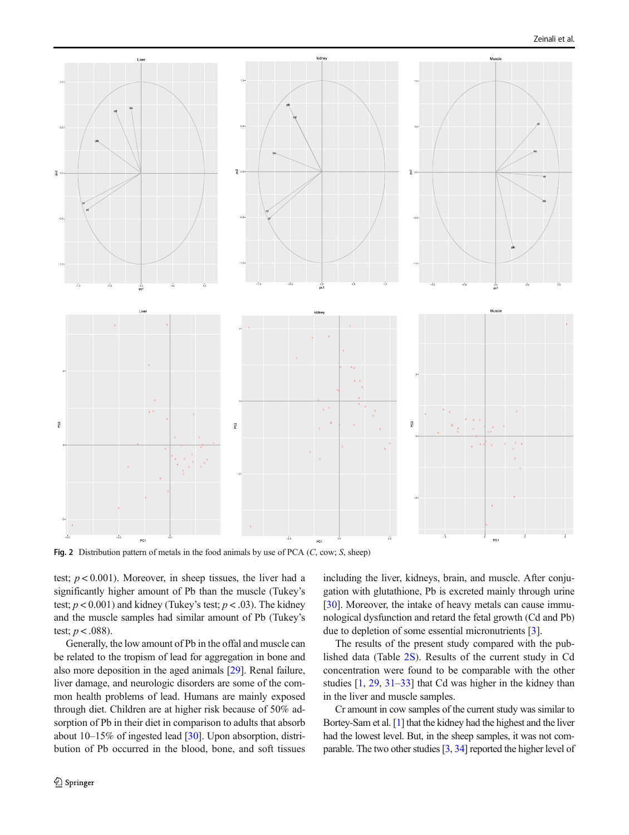

Fig. 2 Distribution pattern of metals in the food animals by use of PCA  $(C, \text{cow}; S, \text{ sheep})$ 

test;  $p < 0.001$ ). Moreover, in sheep tissues, the liver had a significantly higher amount of Pb than the muscle (Tukey's test;  $p < 0.001$ ) and kidney (Tukey's test;  $p < .03$ ). The kidney and the muscle samples had similar amount of Pb (Tukey's test;  $p < .088$ ).

Generally, the low amount of Pb in the offal and muscle can be related to the tropism of lead for aggregation in bone and also more deposition in the aged animals [29]. Renal failure, liver damage, and neurologic disorders are some of the common health problems of lead. Humans are mainly exposed through diet. Children are at higher risk because of 50% adsorption of Pb in their diet in comparison to adults that absorb about 10–15% of ingested lead [30]. Upon absorption, distribution of Pb occurred in the blood, bone, and soft tissues including the liver, kidneys, brain, and muscle. After conjugation with glutathione, Pb is excreted mainly through urine [30]. Moreover, the intake of heavy metals can cause immunological dysfunction and retard the fetal growth (Cd and Pb) due to depletion of some essential micronutrients [3].

The results of the present study compared with the published data (Table 2S). Results of the current study in Cd concentration were found to be comparable with the other studies [1, 29, 31–33] that Cd was higher in the kidney than in the liver and muscle samples.

Cr amount in cow samples of the current study was similar to Bortey-Sam et al. [1] that the kidney had the highest and the liver had the lowest level. But, in the sheep samples, it was not comparable. The two other studies [3, 34] reported the higher level of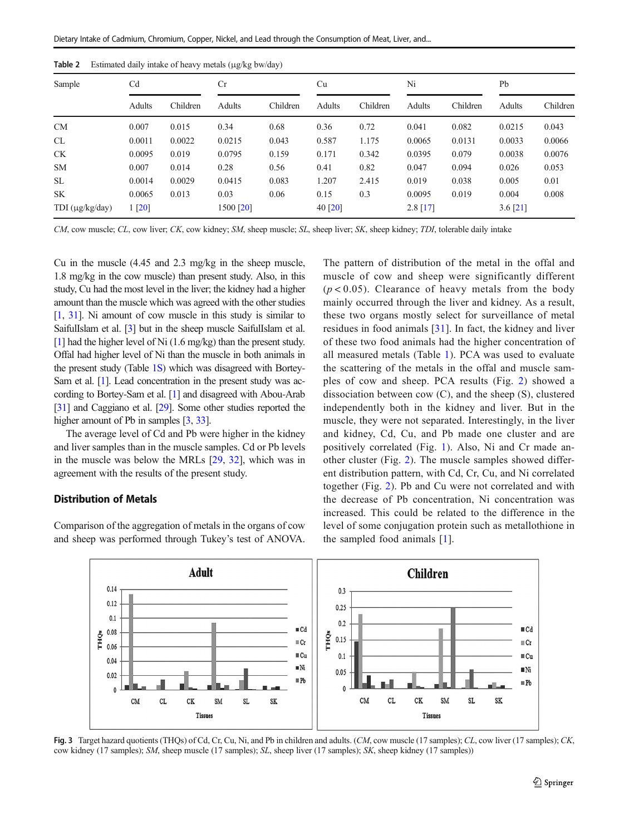| Table 2 |  |  |  | Estimated daily intake of heavy metals (µg/kg bw/day) |  |
|---------|--|--|--|-------------------------------------------------------|--|
|---------|--|--|--|-------------------------------------------------------|--|

| Sample          | C <sub>d</sub> |          | Cr        |          | Cu      |          | Ni         |          | Pb         |          |
|-----------------|----------------|----------|-----------|----------|---------|----------|------------|----------|------------|----------|
|                 | Adults         | Children | Adults    | Children | Adults  | Children | Adults     | Children | Adults     | Children |
| CM              | 0.007          | 0.015    | 0.34      | 0.68     | 0.36    | 0.72     | 0.041      | 0.082    | 0.0215     | 0.043    |
| CL              | 0.0011         | 0.0022   | 0.0215    | 0.043    | 0.587   | 1.175    | 0.0065     | 0.0131   | 0.0033     | 0.0066   |
| <b>CK</b>       | 0.0095         | 0.019    | 0.0795    | 0.159    | 0.171   | 0.342    | 0.0395     | 0.079    | 0.0038     | 0.0076   |
| <b>SM</b>       | 0.007          | 0.014    | 0.28      | 0.56     | 0.41    | 0.82     | 0.047      | 0.094    | 0.026      | 0.053    |
| SL.             | 0.0014         | 0.0029   | 0.0415    | 0.083    | 1.207   | 2.415    | 0.019      | 0.038    | 0.005      | 0.01     |
| <b>SK</b>       | 0.0065         | 0.013    | 0.03      | 0.06     | 0.15    | 0.3      | 0.0095     | 0.019    | 0.004      | 0.008    |
| TDI (µg/kg/day) | 1 [20]         |          | 1500 [20] |          | 40 [20] |          | $2.8$ [17] |          | $3.6$ [21] |          |

CM, cow muscle; CL, cow liver; CK, cow kidney; SM, sheep muscle; SL, sheep liver; SK, sheep kidney; TDI, tolerable daily intake

Cu in the muscle (4.45 and 2.3 mg/kg in the sheep muscle, 1.8 mg/kg in the cow muscle) than present study. Also, in this study, Cu had the most level in the liver; the kidney had a higher amount than the muscle which was agreed with the other studies [1, 31]. Ni amount of cow muscle in this study is similar to SaifulIslam et al. [3] but in the sheep muscle SaifulIslam et al. [1] had the higher level of Ni (1.6 mg/kg) than the present study. Offal had higher level of Ni than the muscle in both animals in the present study (Table 1S) which was disagreed with Bortey-Sam et al. [1]. Lead concentration in the present study was according to Bortey-Sam et al. [1] and disagreed with Abou-Arab [31] and Caggiano et al. [29]. Some other studies reported the higher amount of Pb in samples [3, 33].

The average level of Cd and Pb were higher in the kidney and liver samples than in the muscle samples. Cd or Pb levels in the muscle was below the MRLs [29, 32], which was in agreement with the results of the present study.

#### Distribution of Metals

Comparison of the aggregation of metals in the organs of cow and sheep was performed through Tukey's test of ANOVA. The pattern of distribution of the metal in the offal and muscle of cow and sheep were significantly different  $(p < 0.05)$ . Clearance of heavy metals from the body mainly occurred through the liver and kidney. As a result, these two organs mostly select for surveillance of metal residues in food animals [31]. In fact, the kidney and liver of these two food animals had the higher concentration of all measured metals (Table 1). PCA was used to evaluate the scattering of the metals in the offal and muscle samples of cow and sheep. PCA results (Fig. 2) showed a dissociation between cow (C), and the sheep (S), clustered independently both in the kidney and liver. But in the muscle, they were not separated. Interestingly, in the liver and kidney, Cd, Cu, and Pb made one cluster and are positively correlated (Fig. 1). Also, Ni and Cr made another cluster (Fig. 2). The muscle samples showed different distribution pattern, with Cd, Cr, Cu, and Ni correlated together (Fig. 2). Pb and Cu were not correlated and with the decrease of Pb concentration, Ni concentration was increased. This could be related to the difference in the level of some conjugation protein such as metallothione in the sampled food animals [1].



Fig. 3 Target hazard quotients (THQs) of Cd, Cr, Cu, Ni, and Pb in children and adults. (CM, cow muscle (17 samples); CL, cow liver (17 samples); CK, cow kidney (17 samples); SM, sheep muscle (17 samples); SL, sheep liver (17 samples); SK, sheep kidney (17 samples))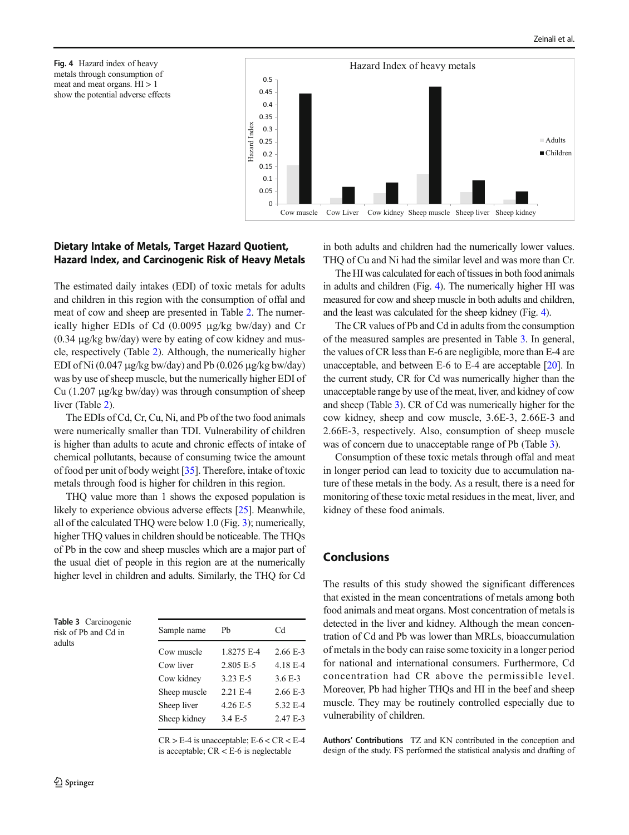



# Dietary Intake of Metals, Target Hazard Quotient, Hazard Index, and Carcinogenic Risk of Heavy Metals

The estimated daily intakes (EDI) of toxic metals for adults and children in this region with the consumption of offal and meat of cow and sheep are presented in Table 2. The numerically higher EDIs of Cd (0.0095 μg/kg bw/day) and Cr  $(0.34 \mu g/kg$  bw/day) were by eating of cow kidney and muscle, respectively (Table 2). Although, the numerically higher EDI of Ni (0.047 μg/kg bw/day) and Pb (0.026 μg/kg bw/day) was by use of sheep muscle, but the numerically higher EDI of Cu (1.207 μg/kg bw/day) was through consumption of sheep liver (Table 2).

The EDIs of Cd, Cr, Cu, Ni, and Pb of the two food animals were numerically smaller than TDI. Vulnerability of children is higher than adults to acute and chronic effects of intake of chemical pollutants, because of consuming twice the amount of food per unit of body weight [35]. Therefore, intake of toxic metals through food is higher for children in this region.

THQ value more than 1 shows the exposed population is likely to experience obvious adverse effects [25]. Meanwhile, all of the calculated THQ were below 1.0 (Fig. 3); numerically, higher THQ values in children should be noticeable. The THQs of Pb in the cow and sheep muscles which are a major part of the usual diet of people in this region are at the numerically higher level in children and adults. Similarly, the THQ for Cd

| Table 3 Carcinogenic |     |
|----------------------|-----|
| risk of Pb and Cd in | San |
| adults               |     |
|                      | Cov |

| Sample name  | Ph         | Cd         |
|--------------|------------|------------|
| Cow muscle   | 1.8275 E-4 | $2.66 E-3$ |
| Cow liver    | 2.805 E-5  | 4.18 E-4   |
| Cow kidney   | 3.23 E-5   | $3.6E - 3$ |
| Sheep muscle | $2.21 E-4$ | $2.66 E-3$ |
| Sheep liver  | 4.26 E-5   | 5.32 E-4   |
| Sheep kidney | 3.4 E-5    | $2.47 E-3$ |
|              |            |            |

 $CR > E-4$  is unacceptable;  $E-6 < CR < E-4$ is acceptable;  $CR < E-6$  is neglectable

in both adults and children had the numerically lower values. THQ of Cu and Ni had the similar level and was more than Cr.

The HI was calculated for each of tissues in both food animals in adults and children (Fig. 4). The numerically higher HI was measured for cow and sheep muscle in both adults and children, and the least was calculated for the sheep kidney (Fig. 4).

The CR values of Pb and Cd in adults from the consumption of the measured samples are presented in Table 3. In general, the values of CR less than E-6 are negligible, more than E-4 are unacceptable, and between E-6 to E-4 are acceptable [20]. In the current study, CR for Cd was numerically higher than the unacceptable range by use of the meat, liver, and kidney of cow and sheep (Table 3). CR of Cd was numerically higher for the cow kidney, sheep and cow muscle, 3.6E-3, 2.66E-3 and 2.66E-3, respectively. Also, consumption of sheep muscle was of concern due to unacceptable range of Pb (Table 3).

Consumption of these toxic metals through offal and meat in longer period can lead to toxicity due to accumulation nature of these metals in the body. As a result, there is a need for monitoring of these toxic metal residues in the meat, liver, and kidney of these food animals.

# Conclusions

The results of this study showed the significant differences that existed in the mean concentrations of metals among both food animals and meat organs. Most concentration of metals is detected in the liver and kidney. Although the mean concentration of Cd and Pb was lower than MRLs, bioaccumulation of metals in the body can raise some toxicity in a longer period for national and international consumers. Furthermore, Cd concentration had CR above the permissible level. Moreover, Pb had higher THQs and HI in the beef and sheep muscle. They may be routinely controlled especially due to vulnerability of children.

Authors' Contributions TZ and KN contributed in the conception and design of the study. FS performed the statistical analysis and drafting of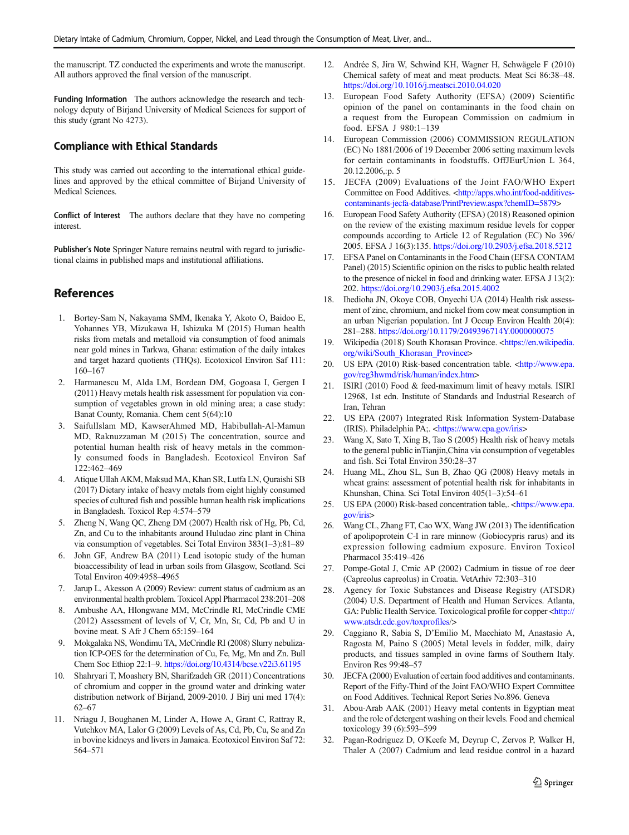the manuscript. TZ conducted the experiments and wrote the manuscript. All authors approved the final version of the manuscript.

Funding Information The authors acknowledge the research and technology deputy of Birjand University of Medical Sciences for support of this study (grant No 4273).

### Compliance with Ethical Standards

This study was carried out according to the international ethical guidelines and approved by the ethical committee of Birjand University of Medical Sciences.

Conflict of Interest The authors declare that they have no competing interest.

Publisher's Note Springer Nature remains neutral with regard to jurisdictional claims in published maps and institutional affiliations.

# **References**

- 1. Bortey-Sam N, Nakayama SMM, Ikenaka Y, Akoto O, Baidoo E, Yohannes YB, Mizukawa H, Ishizuka M (2015) Human health risks from metals and metalloid via consumption of food animals near gold mines in Tarkwa, Ghana: estimation of the daily intakes and target hazard quotients (THQs). Ecotoxicol Environ Saf 111: 160–167
- 2. Harmanescu M, Alda LM, Bordean DM, Gogoasa I, Gergen I (2011) Heavy metals health risk assessment for population via consumption of vegetables grown in old mining area; a case study: Banat County, Romania. Chem cent 5(64):10
- 3. SaifulIslam MD, KawserAhmed MD, Habibullah-Al-Mamun MD, Raknuzzaman M (2015) The concentration, source and potential human health risk of heavy metals in the commonly consumed foods in Bangladesh. Ecotoxicol Environ Saf 122:462–469
- 4. Atique Ullah AKM, Maksud MA, Khan SR, Lutfa LN, Quraishi SB (2017) Dietary intake of heavy metals from eight highly consumed species of cultured fish and possible human health risk implications in Bangladesh. Toxicol Rep 4:574–579
- 5. Zheng N, Wang QC, Zheng DM (2007) Health risk of Hg, Pb, Cd, Zn, and Cu to the inhabitants around Huludao zinc plant in China via consumption of vegetables. Sci Total Environ 383(1–3):81–89
- 6. John GF, Andrew BA (2011) Lead isotopic study of the human bioaccessibility of lead in urban soils from Glasgow, Scotland. Sci Total Environ 409:4958–4965
- 7. Jarup L, Akesson A (2009) Review: current status of cadmium as an environmental health problem. Toxicol Appl Pharmacol 238:201–208
- 8. Ambushe AA, Hlongwane MM, McCrindle RI, McCrindle CME (2012) Assessment of levels of V, Cr, Mn, Sr, Cd, Pb and U in bovine meat. S Afr J Chem 65:159–164
- 9. Mokgalaka NS, Wondimu TA, McCrindle RI (2008) Slurry nebulization ICP-OES for the determination of Cu, Fe, Mg, Mn and Zn. Bull Chem Soc Ethiop 22:1–9. https://doi.org/10.4314/bcse.v22i3.61195
- 10. Shahryari T, Moashery BN, Sharifzadeh GR (2011) Concentrations of chromium and copper in the ground water and drinking water distribution network of Birjand, 2009-2010. J Birj uni med 17(4): 62–67
- 11. Nriagu J, Boughanen M, Linder A, Howe A, Grant C, Rattray R, Vutchkov MA, Lalor G (2009) Levels of As, Cd, Pb, Cu, Se and Zn in bovine kidneys and livers in Jamaica. Ecotoxicol Environ Saf 72: 564–571
- 12. Andrée S, Jira W, Schwind KH, Wagner H, Schwägele F (2010) Chemical safety of meat and meat products. Meat Sci 86:38–48. https://doi.org/10.1016/j.meatsci.2010.04.020
- 13. European Food Safety Authority (EFSA) (2009) Scientific opinion of the panel on contaminants in the food chain on a request from the European Commission on cadmium in food. EFSA J 980:1–139
- 14. European Commission (2006) COMMISSION REGULATION (EC) No 1881/2006 of 19 December 2006 setting maximum levels for certain contaminants in foodstuffs. OffJEurUnion L 364, 20.12.2006,:p. 5
- 15. JECFA (2009) Evaluations of the Joint FAO/WHO Expert Committee on Food Additives. <http://apps.who.int/food-additivescontaminants-jecfa-database/PrintPreview.aspx?chemID=5879>
- 16. European Food Safety Authority (EFSA) (2018) Reasoned opinion on the review of the existing maximum residue levels for copper compounds according to Article 12 of Regulation (EC) No 396/ 2005. EFSA J 16(3):135. https://doi.org/10.2903/j.efsa.2018.5212
- 17. EFSA Panel on Contaminants in the Food Chain (EFSA CONTAM Panel) (2015) Scientific opinion on the risks to public health related to the presence of nickel in food and drinking water. EFSA J 13(2): 202. https://doi.org/10.2903/j.efsa.2015.4002
- 18. Ihedioha JN, Okoye COB, Onyechi UA (2014) Health risk assessment of zinc, chromium, and nickel from cow meat consumption in an urban Nigerian population. Int J Occup Environ Health 20(4): 281–288. https://doi.org/10.1179/2049396714Y.0000000075
- 19. Wikipedia (2018) South Khorasan Province. <https://en.wikipedia. org/wiki/South\_Khorasan\_Province>
- 20. US EPA (2010) Risk-based concentration table. <http://www.epa. gov/reg3hwmd/risk/human/index.htm>
- 21. ISIRI (2010) Food & feed-maximum limit of heavy metals. ISIRI 12968, 1st edn. Institute of Standards and Industrial Research of Iran, Tehran
- 22. US EPA (2007) Integrated Risk Information System-Database (IRIS). Philadelphia PA;. <https://www.epa.gov/iris>
- 23. Wang X, Sato T, Xing B, Tao S (2005) Health risk of heavy metals to the general public inTianjin,China via consumption of vegetables and fish. Sci Total Environ 350:28–37
- 24. Huang ML, Zhou SL, Sun B, Zhao QG (2008) Heavy metals in wheat grains: assessment of potential health risk for inhabitants in Khunshan, China. Sci Total Environ 405(1–3):54–61
- 25. US EPA (2000) Risk-based concentration table,. <https://www.epa. gov/iris>
- 26. Wang CL, Zhang FT, Cao WX, Wang JW (2013) The identification of apolipoprotein C-I in rare minnow (Gobiocypris rarus) and its expression following cadmium exposure. Environ Toxicol Pharmacol 35:419–426
- 27. Pompe-Gotal J, Crnic AP (2002) Cadmium in tissue of roe deer (Capreolus capreolus) in Croatia. VetArhiv 72:303–310
- 28. Agency for Toxic Substances and Disease Registry (ATSDR) (2004) U.S. Department of Health and Human Services. Atlanta, GA: Public Health Service. Toxicological profile for copper <http:// www.atsdr.cdc.gov/toxprofiles/>
- 29. Caggiano R, Sabia S, D'Emilio M, Macchiato M, Anastasio A, Ragosta M, Paino S (2005) Metal levels in fodder, milk, dairy products, and tissues sampled in ovine farms of Southern Italy. Environ Res 99:48–57
- 30. JECFA (2000) Evaluation of certain food additives and contaminants. Report of the Fifty-Third of the Joint FAO/WHO Expert Committee on Food Additives. Technical Report Series No.896. Geneva
- 31. Abou-Arab AAK (2001) Heavy metal contents in Egyptian meat and the role of detergent washing on their levels. Food and chemical toxicology 39 (6):593–599
- 32. Pagan-Rodriguez D, O'Keefe M, Deyrup C, Zervos P, Walker H, Thaler A (2007) Cadmium and lead residue control in a hazard